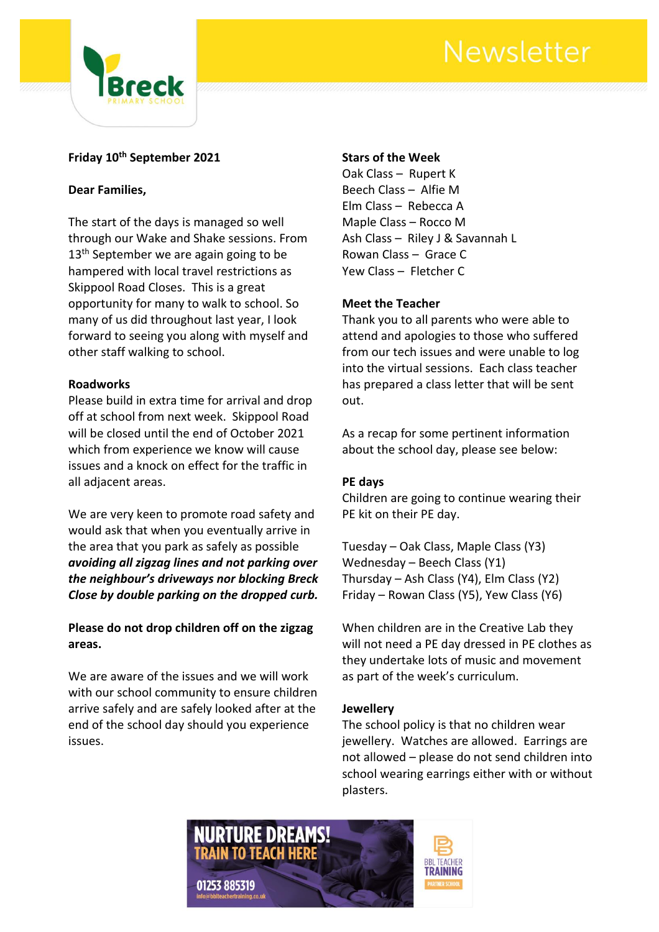# Newsletter



# **Friday 10th September 2021**

# **Dear Families,**

The start of the days is managed so well through our Wake and Shake sessions. From 13<sup>th</sup> September we are again going to be hampered with local travel restrictions as Skippool Road Closes. This is a great opportunity for many to walk to school. So many of us did throughout last year, I look forward to seeing you along with myself and other staff walking to school.

#### **Roadworks**

Please build in extra time for arrival and drop off at school from next week. Skippool Road will be closed until the end of October 2021 which from experience we know will cause issues and a knock on effect for the traffic in all adjacent areas.

We are very keen to promote road safety and would ask that when you eventually arrive in the area that you park as safely as possible *avoiding all zigzag lines and not parking over the neighbour's driveways nor blocking Breck Close by double parking on the dropped curb.*

**Please do not drop children off on the zigzag areas.**

We are aware of the issues and we will work with our school community to ensure children arrive safely and are safely looked after at the end of the school day should you experience issues.

### **Stars of the Week**

Oak Class – Rupert K Beech Class – Alfie M Elm Class – Rebecca A Maple Class – Rocco M Ash Class – Riley J & Savannah L Rowan Class – Grace C Yew Class – Fletcher C

# **Meet the Teacher**

Thank you to all parents who were able to attend and apologies to those who suffered from our tech issues and were unable to log into the virtual sessions. Each class teacher has prepared a class letter that will be sent out.

As a recap for some pertinent information about the school day, please see below:

# **PE days**

Children are going to continue wearing their PE kit on their PE day.

Tuesday – Oak Class, Maple Class (Y3) Wednesday – Beech Class (Y1) Thursday – Ash Class (Y4), Elm Class (Y2) Friday – Rowan Class (Y5), Yew Class (Y6)

When children are in the Creative Lab they will not need a PE day dressed in PE clothes as they undertake lots of music and movement as part of the week's curriculum.

# **Jewellery**

The school policy is that no children wear jewellery. Watches are allowed. Earrings are not allowed – please do not send children into school wearing earrings either with or without plasters.

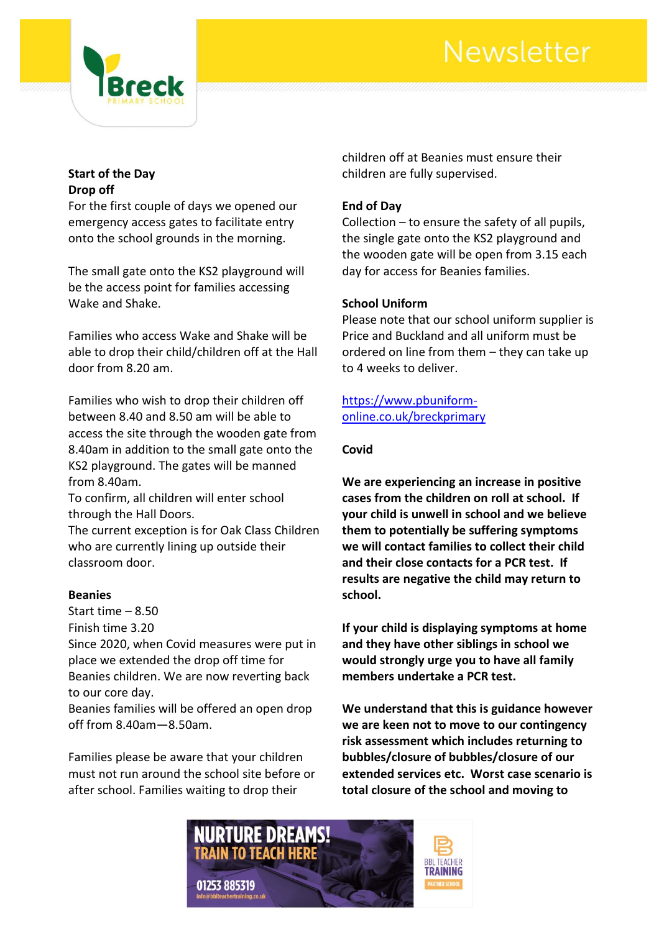# Newsletter



# **Start of the Day Drop off**

For the first couple of days we opened our emergency access gates to facilitate entry onto the school grounds in the morning.

The small gate onto the KS2 playground will be the access point for families accessing Wake and Shake.

Families who access Wake and Shake will be able to drop their child/children off at the Hall door from 8.20 am.

Families who wish to drop their children off between 8.40 and 8.50 am will be able to access the site through the wooden gate from 8.40am in addition to the small gate onto the KS2 playground. The gates will be manned from 8.40am.

To confirm, all children will enter school through the Hall Doors.

The current exception is for Oak Class Children who are currently lining up outside their classroom door.

# **Beanies**

Start time – 8.50 Finish time 3.20 Since 2020, when Covid measures were put in place we extended the drop off time for Beanies children. We are now reverting back to our core day.

Beanies families will be offered an open drop off from 8.40am—8.50am.

Families please be aware that your children must not run around the school site before or after school. Families waiting to drop their

children off at Beanies must ensure their children are fully supervised.

### **End of Day**

Collection – to ensure the safety of all pupils, the single gate onto the KS2 playground and the wooden gate will be open from 3.15 each day for access for Beanies families.

#### **School Uniform**

Please note that our school uniform supplier is Price and Buckland and all uniform must be ordered on line from them – they can take up to 4 weeks to deliver.

[https://www.pbuniform](https://www.pbuniform-online.co.uk/breckprimary)[online.co.uk/breckprimary](https://www.pbuniform-online.co.uk/breckprimary)

#### **Covid**

**We are experiencing an increase in positive cases from the children on roll at school. If your child is unwell in school and we believe them to potentially be suffering symptoms we will contact families to collect their child and their close contacts for a PCR test. If results are negative the child may return to school.**

**If your child is displaying symptoms at home and they have other siblings in school we would strongly urge you to have all family members undertake a PCR test.**

**We understand that this is guidance however we are keen not to move to our contingency risk assessment which includes returning to bubbles/closure of bubbles/closure of our extended services etc. Worst case scenario is total closure of the school and moving to**